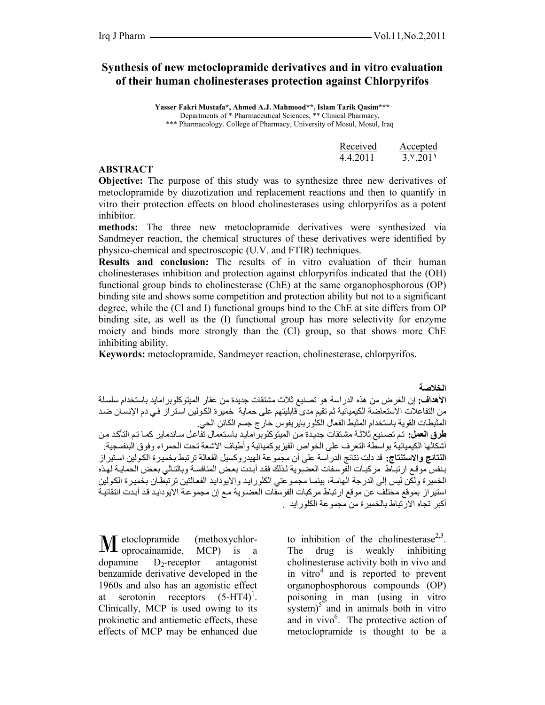# **Synthesis of new metoclopramide derivatives and in vitro evaluation of their human cholinesterases protection against Chlorpyrifos**

 **Yasser Fakri Mustafa\*, Ahmed A.J. Mahmood\*\*, Islam Tarik Qasim\*\*\*** Departments of \* Pharmaceutical Sciences, \*\* Clinical Pharmacy, \*\*\* Pharmacology. College of Pharmacy, University of Mosul, Mosul, Iraq

| Received | Accepted |
|----------|----------|
| 4.4.2011 | 3.9.2011 |

#### **ABSTRACT**

**Objective:** The purpose of this study was to synthesize three new derivatives of metoclopramide by diazotization and replacement reactions and then to quantify in vitro their protection effects on blood cholinesterases using chlorpyrifos as a potent inhibitor.

**methods:** The three new metoclopramide derivatives were synthesized via Sandmeyer reaction, the chemical structures of these derivatives were identified by physico-chemical and spectroscopic (U.V. and FTIR) techniques.

**Results and conclusion:** The results of in vitro evaluation of their human cholinesterases inhibition and protection against chlorpyrifos indicated that the (OH) functional group binds to cholinesterase (ChE) at the same organophosphorous (OP) binding site and shows some competition and protection ability but not to a significant degree, while the (Cl and I) functional groups bind to the ChE at site differs from OP binding site, as well as the (I) functional group has more selectivity for enzyme moiety and binds more strongly than the (Cl) group, so that shows more ChE inhibiting ability.

**Keywords:** metoclopramide, Sandmeyer reaction, cholinesterase, chlorpyrifos.

**الخلاصة**

**الأهداف:** إن الغرض من هذه الدراسة هو تصنيع ثلاث مشتقات جديدة من عقار الميتوآلوبرامايد باستخدام سلسѧلة من التفاعلات الاستعاضة الكيميائية ثم تقيم مدى قابليتهم على حماية خميرة الكولين استراز فـي دم الإنسـان ضد المثبطات القوية باستخدام المثبط الفعال الكلوربايريفوس خارج جسم الكائن الحي. طرق العمل: تم تصنيع ثلاثة مشتقات جديدة من الميتوكلوبر امايد باستعمال تفاعل ساندماير كمـا تم التأكد من أشكالها الكيميائية بواسطة التعرف على الخواص الفيزيوكميائية وأطياف الأشعة تحت الحمراء وفوق البنفسجية. **النتائج والاستنتاج:** قد دلت نتائج الدراسة على أن مجموعة الهيدروآسيل الفعالة ترتبط بخميѧرة الكѧولين اسѧتيراز بنفس موقع ارتباط مركبات الفوسفات العضوية لذلك فقد أبدت بعض المنافسة وبالتالي بعض الحماية لهذه الخمير ة ولكن ليس إلى الدر جة الهامـة، بينمـا مجمـو عتي الكلور ايـد والايودايـد الفعـالتين تر تبطّـان بخمير ة الكولين استير از بموقع مختلف عن موقع ارتباط مركبات الفوسفات العضوية مـع إن مجموعة الايودايد قد أبدت انتقائية أآبر تجاه الارتباط بالخميرة من مجموعة الكلورايد .

etoclopramide (methoxychlor-M etoclopramide, (methoxychlor-<br>oprocainamide, MCP) is a dopamine  $D_2$ -receptor antagonist benzamide derivative developed in the 1960s and also has an agonistic effect at serotonin receptors  $(5-HT4)^T$ . Clinically, MCP is used owing to its prokinetic and antiemetic effects, these effects of MCP may be enhanced due to inhibition of the cholinesterase<sup>2,3</sup>. The drug is weakly inhibiting cholinesterase activity both in vivo and in vitro<sup>4</sup> and is reported to prevent organophosphorous compounds (OP) poisoning in man (using in vitro system) $\int$  and in animals both in vitro and in vivo<sup>6</sup>. The protective action of metoclopramide is thought to be a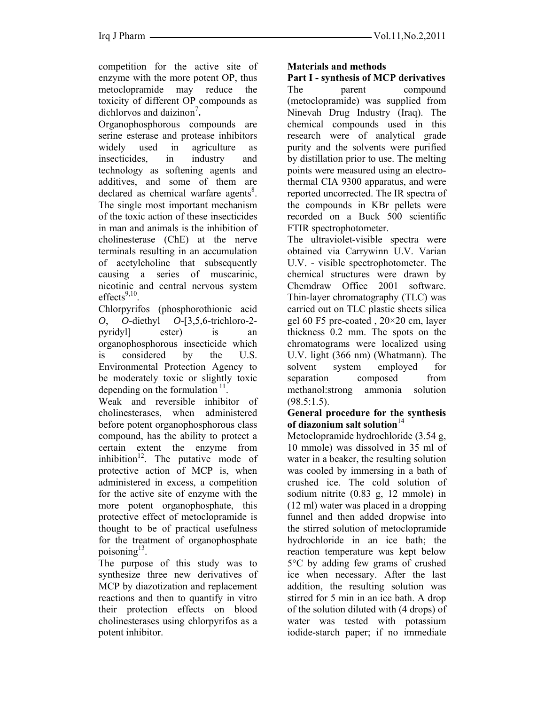competition for the active site of enzyme with the more potent OP, thus metoclopramide may reduce the toxicity of different OP compounds as dichlorvos and daizinon<sup>7</sup>.

Organophosphorous compounds are serine esterase and protease inhibitors widely used in agriculture as insecticides, in industry and technology as softening agents and additives, and some of them are declared as chemical warfare agents<sup>8</sup>. The single most important mechanism of the toxic action of these insecticides in man and animals is the inhibition of cholinesterase (ChE) at the nerve terminals resulting in an accumulation of acetylcholine that subsequently causing a series of muscarinic, nicotinic and central nervous system  $effects<sup>9,10</sup>$ 

Chlorpyrifos (phosphorothionic acid *O*, *O*-diethyl *O*-[3,5,6-trichloro-2 pyridyl] ester) is an organophosphorous insecticide which is considered by the U.S. Environmental Protection Agency to be moderately toxic or slightly toxic depending on the formulation  $\frac{11}{1}$ .

Weak and reversible inhibitor of cholinesterases, when administered before potent organophosphorous class compound, has the ability to protect a certain extent the enzyme from inhibition<sup>12</sup>. The putative mode of protective action of MCP is, when administered in excess, a competition for the active site of enzyme with the more potent organophosphate, this protective effect of metoclopramide is thought to be of practical usefulness for the treatment of organophosphate poisoning $^{13}$ .

The purpose of this study was to synthesize three new derivatives of MCP by diazotization and replacement reactions and then to quantify in vitro their protection effects on blood cholinesterases using chlorpyrifos as a potent inhibitor.

## **Materials and methods**

**Part I - synthesis of MCP derivatives**  The parent compound (metoclopramide) was supplied from Ninevah Drug Industry (Iraq). The chemical compounds used in this research were of analytical grade purity and the solvents were purified by distillation prior to use. The melting points were measured using an electrothermal CIA 9300 apparatus, and were reported uncorrected. The IR spectra of the compounds in KBr pellets were recorded on a Buck 500 scientific FTIR spectrophotometer.

The ultraviolet-visible spectra were obtained via Carrywinn U.V. Varian U.V. - visible spectrophotometer. The chemical structures were drawn by Chemdraw Office 2001 software. Thin-layer chromatography (TLC) was carried out on TLC plastic sheets silica gel 60 F5 pre-coated , 20×20 cm, layer thickness 0.2 mm. The spots on the chromatograms were localized using U.V. light (366 nm) (Whatmann). The solvent system employed for separation composed from methanol:strong ammonia solution  $(98.5:1.5)$ .

#### **General procedure for the synthesis**  of diazonium salt solution<sup>14</sup>

Metoclopramide hydrochloride (3.54 g, 10 mmole) was dissolved in 35 ml of water in a beaker, the resulting solution was cooled by immersing in a bath of crushed ice. The cold solution of sodium nitrite (0.83 g, 12 mmole) in (12 ml) water was placed in a dropping funnel and then added dropwise into the stirred solution of metoclopramide hydrochloride in an ice bath; the reaction temperature was kept below 5°C by adding few grams of crushed ice when necessary. After the last addition, the resulting solution was stirred for 5 min in an ice bath. A drop of the solution diluted with (4 drops) of water was tested with potassium iodide-starch paper; if no immediate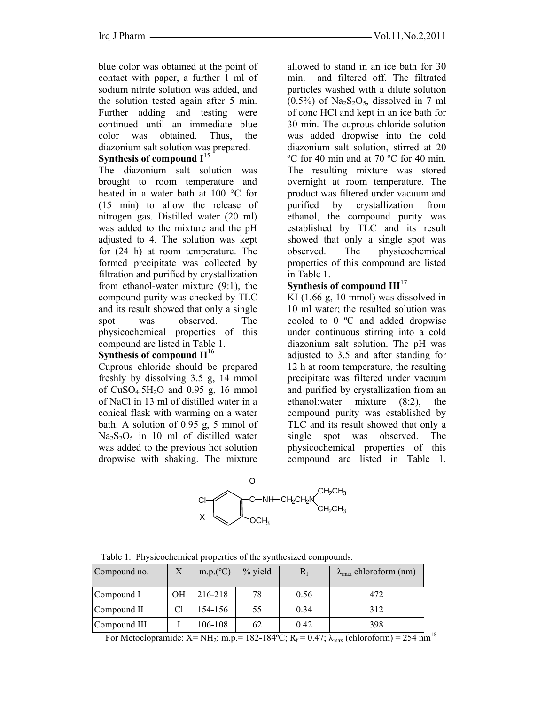blue color was obtained at the point of contact with paper, a further 1 ml of sodium nitrite solution was added, and the solution tested again after 5 min. Further adding and testing were continued until an immediate blue color was obtained. Thus, the diazonium salt solution was prepared.

# **Synthesis of compound I**<sup>15</sup>

The diazonium salt solution was brought to room temperature and heated in a water bath at 100 °C for (15 min) to allow the release of nitrogen gas. Distilled water (20 ml) was added to the mixture and the pH adjusted to 4. The solution was kept for (24 h) at room temperature. The formed precipitate was collected by filtration and purified by crystallization from ethanol-water mixture (9:1), the compound purity was checked by TLC and its result showed that only a single spot was observed. The physicochemical properties of this compound are listed in Table 1.

# **Synthesis of compound II**<sup>16</sup>

Cuprous chloride should be prepared freshly by dissolving 3.5 g, 14 mmol of  $CuSO<sub>4</sub>.5H<sub>2</sub>O$  and 0.95 g, 16 mmol of NaCl in 13 ml of distilled water in a conical flask with warming on a water bath. A solution of 0.95 g, 5 mmol of  $Na<sub>2</sub>S<sub>2</sub>O<sub>5</sub>$  in 10 ml of distilled water was added to the previous hot solution dropwise with shaking. The mixture

allowed to stand in an ice bath for 30 min. and filtered off. The filtrated particles washed with a dilute solution  $(0.5\%)$  of Na<sub>2</sub>S<sub>2</sub>O<sub>5</sub>, dissolved in 7 ml of conc HCl and kept in an ice bath for 30 min. The cuprous chloride solution was added dropwise into the cold diazonium salt solution, stirred at 20 ºC for 40 min and at 70 ºC for 40 min. The resulting mixture was stored overnight at room temperature. The product was filtered under vacuum and purified by crystallization from ethanol, the compound purity was established by TLC and its result showed that only a single spot was observed. The physicochemical properties of this compound are listed in Table 1.

# **Synthesis of compound III**<sup>17</sup>

KI (1.66 g, 10 mmol) was dissolved in 10 ml water; the resulted solution was cooled to 0 ºC and added dropwise under continuous stirring into a cold diazonium salt solution. The pH was adjusted to 3.5 and after standing for 12 h at room temperature, the resulting precipitate was filtered under vacuum and purified by crystallization from an ethanol:water mixture (8:2), the compound purity was established by TLC and its result showed that only a single spot was observed. The physicochemical properties of this compound are listed in Table 1.



| Compound no. | $\rm X$ | m.p.(°C) | $%$ yield | $R_f$ | $\lambda_{\text{max}}$ chloroform (nm) |
|--------------|---------|----------|-----------|-------|----------------------------------------|
| Compound I   | OН      | 216-218  | 78        | 0.56  | 472                                    |
| Compound II  |         | 154-156  | 55        | 0.34  | 312                                    |
| Compound III |         | 106-108  | 62        | 0.42  | 398                                    |

Table 1. Physicochemical properties of the synthesized compounds.

For Metoclopramide:  $X = NH_2$ ; m.p.= 182-184°C;  $R_f = 0.47$ ;  $\lambda_{max}$  (chloroform) = 254 nm<sup>18</sup>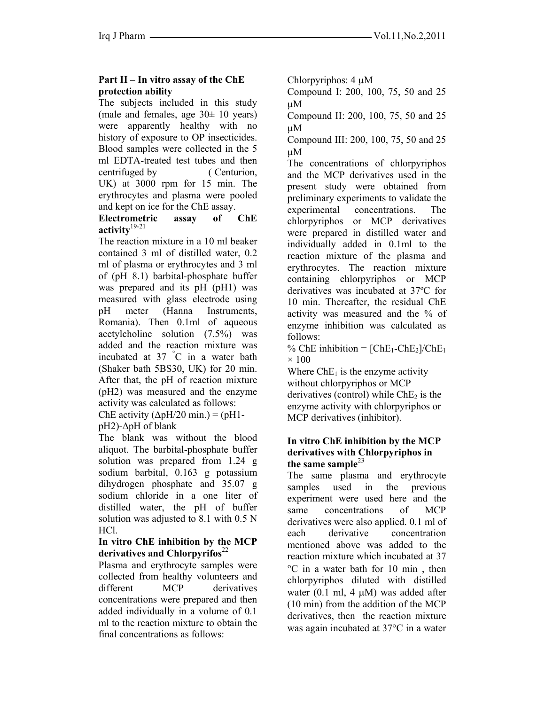# **Part II – In vitro assay of the ChE protection ability**

The subjects included in this study (male and females, age  $30\pm 10$  years) were apparently healthy with no history of exposure to OP insecticides. Blood samples were collected in the 5 ml EDTA-treated test tubes and then centrifuged by ( Centurion, UK) at 3000 rpm for 15 min. The erythrocytes and plasma were pooled and kept on ice for the ChE assay.

### **Electrometric assay of ChE activity**19-21

The reaction mixture in a 10 ml beaker contained 3 ml of distilled water, 0.2 ml of plasma or erythrocytes and 3 ml of (pH 8.1) barbital-phosphate buffer was prepared and its pH (pH1) was measured with glass electrode using pH meter (Hanna Instruments, Romania). Then 0.1ml of aqueous acetylcholine solution (7.5%) was added and the reaction mixture was incubated at 37 ° C in a water bath (Shaker bath 5BS30, UK) for 20 min. After that, the pH of reaction mixture (pH2) was measured and the enzyme activity was calculated as follows:

ChE activity ( $\Delta pH/20$  min.) = ( $pH1$ -

pH2)-∆pH of blank

The blank was without the blood aliquot. The barbital-phosphate buffer solution was prepared from 1.24 g sodium barbital, 0.163 g potassium dihydrogen phosphate and 35.07 g sodium chloride in a one liter of distilled water, the pH of buffer solution was adjusted to 8.1 with 0.5 N HCl.

### **In vitro ChE inhibition by the MCP derivatives and Chlorpyrifos**<sup>22</sup>

Plasma and erythrocyte samples were collected from healthy volunteers and different MCP derivatives concentrations were prepared and then added individually in a volume of 0.1 ml to the reaction mixture to obtain the final concentrations as follows:

Chlorpyriphos: 4 µM

Compound I: 200, 100, 75, 50 and 25 µM

Compound II: 200, 100, 75, 50 and 25 µM

Compound III: 200, 100, 75, 50 and 25 µM

The concentrations of chlorpyriphos and the MCP derivatives used in the present study were obtained from preliminary experiments to validate the experimental concentrations. The chlorpyriphos or MCP derivatives were prepared in distilled water and individually added in 0.1ml to the reaction mixture of the plasma and erythrocytes. The reaction mixture containing chlorpyriphos or MCP derivatives was incubated at 37ºC for 10 min. Thereafter, the residual ChE activity was measured and the % of enzyme inhibition was calculated as follows:

% ChE inhibition =  $[ChE_1-ChE_2]/ChE_1$  $\times$  100

Where  $ChE_1$  is the enzyme activity without chlorpyriphos or MCP derivatives (control) while  $ChE<sub>2</sub>$  is the enzyme activity with chlorpyriphos or MCP derivatives (inhibitor).

### **In vitro ChE inhibition by the MCP derivatives with Chlorpyriphos in**  the same sample<sup>23</sup>

The same plasma and erythrocyte samples used in the previous experiment were used here and the same concentrations of MCP derivatives were also applied. 0.1 ml of each derivative concentration mentioned above was added to the reaction mixture which incubated at 37 °C in a water bath for 10 min , then chlorpyriphos diluted with distilled water (0.1 ml, 4  $\mu$ M) was added after (10 min) from the addition of the MCP derivatives, then the reaction mixture was again incubated at 37°C in a water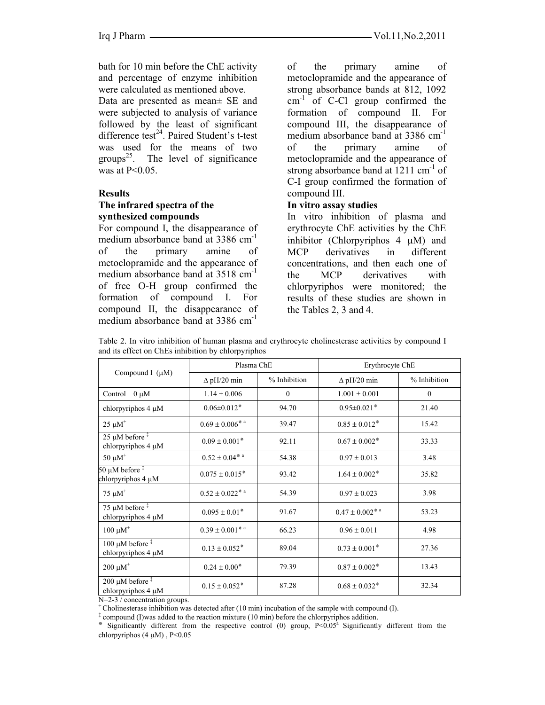bath for 10 min before the ChE activity and percentage of enzyme inhibition were calculated as mentioned above.

Data are presented as mean± SE and were subjected to analysis of variance followed by the least of significant difference test $^{24}$ . Paired Student's t-test was used for the means of two groups<sup>25</sup>. The level of significance was at P<0.05.

#### **Results**

### **The infrared spectra of the synthesized compounds**

For compound I, the disappearance of medium absorbance band at 3386 cm<sup>-1</sup> of the primary amine of metoclopramide and the appearance of medium absorbance band at 3518 cm<sup>-1</sup> of free O-H group confirmed the formation of compound I. For compound II, the disappearance of medium absorbance band at 3386 cm<sup>-1</sup>

of the primary amine of metoclopramide and the appearance of strong absorbance bands at 812, 1092  $cm<sup>-1</sup>$  of C-Cl group confirmed the formation of compound II. For compound III, the disappearance of medium absorbance band at 3386 cm<sup>-1</sup> of the primary amine of metoclopramide and the appearance of strong absorbance band at  $1211 \text{ cm}^{-1}$  of C-I group confirmed the formation of compound III.

#### **In vitro assay studies**

In vitro inhibition of plasma and erythrocyte ChE activities by the ChE inhibitor (Chlorpyriphos 4 µM) and MCP derivatives in different concentrations, and then each one of the MCP derivatives with chlorpyriphos were monitored; the results of these studies are shown in the Tables 2, 3 and 4.

Table 2. In vitro inhibition of human plasma and erythrocyte cholinesterase activities by compound I and its effect on ChEs inhibition by chlorpyriphos

| Compound I $(\mu M)$                                   | Plasma ChE                                 |              | Erythrocyte ChE               |              |
|--------------------------------------------------------|--------------------------------------------|--------------|-------------------------------|--------------|
|                                                        | $\Delta$ pH/20 min                         | % Inhibition | $\Delta$ pH/20 min            | % Inhibition |
| Control<br>$0 \mu M$                                   | $1.14 \pm 0.006$                           | $\mathbf{0}$ | $1.001 \pm 0.001$             | $\mathbf{0}$ |
| chlorpyriphos 4 µM                                     | $0.06 \pm 0.012$ *                         | 94.70        | $0.95 \pm 0.021$ *            | 21.40        |
| $25 \mu M^+$                                           | $0.69 \pm 0.006$ <sup>**</sup>             | 39.47        | $0.85 \pm 0.012$ *            | 15.42        |
| $25 \mu M$ before $\frac{1}{2}$<br>chlorpyriphos 4 µM  | $0.09 \pm 0.001*$                          | 92.11        | $0.67 \pm 0.002$ *            | 33.33        |
| $50 \mu M^+$                                           | $0.52 \pm 0.04$ <sup>*</sup> <sup>a</sup>  | 54.38        | $0.97 \pm 0.013$              | 3.48         |
| 50 µM before $\frac{1}{x}$<br>chlorpyriphos 4 µM       | $0.075 \pm 0.015$ <sup>*</sup>             | 93.42        | $1.64 \pm 0.002$ *            | 35.82        |
| $75 \mu M$ <sup>+</sup>                                | $0.52 \pm 0.022$ <sup>*</sup> <sup>a</sup> | 54.39        | $0.97 \pm 0.023$              | 3.98         |
| 75 µM before $\frac{1}{x}$<br>chlorpyriphos 4 µM       | $0.095 \pm 0.01$ *                         | 91.67        | $0.47 \pm 0.002$ <sup>*</sup> | 53.23        |
| $100 \mu M^+$                                          | $0.39 \pm 0.001$ <sup>*</sup> <sup>a</sup> | 66.23        | $0.96 \pm 0.011$              | 4.98         |
| $100 \mu M$ before $\frac{1}{2}$<br>chlorpyriphos 4 µM | $0.13 \pm 0.052$ *                         | 89.04        | $0.73 \pm 0.001*$             | 27.36        |
| $200 \mu M$ <sup>+</sup>                               | $0.24\pm0.00^*$                            | 79.39        | $0.87\pm0.002$ *              | 13.43        |
| 200 $\mu$ M before $\ddagger$<br>chlorpyriphos 4 µM    | $0.15 \pm 0.052$ *                         | 87.28        | $0.68 \pm 0.032$ *            | 32.34        |

N=2-3 / concentration groups.

+ Cholinesterase inhibition was detected after (10 min) incubation of the sample with compound (I).

<sup>‡</sup> compound (I)was added to the reaction mixture (10 min) before the chlorpyriphos addition.

\* Significantly different from the respective control (0) group,  $P \le 0.05^a$  Significantly different from the chlorpyriphos  $(4 \mu M)$ , P<0.05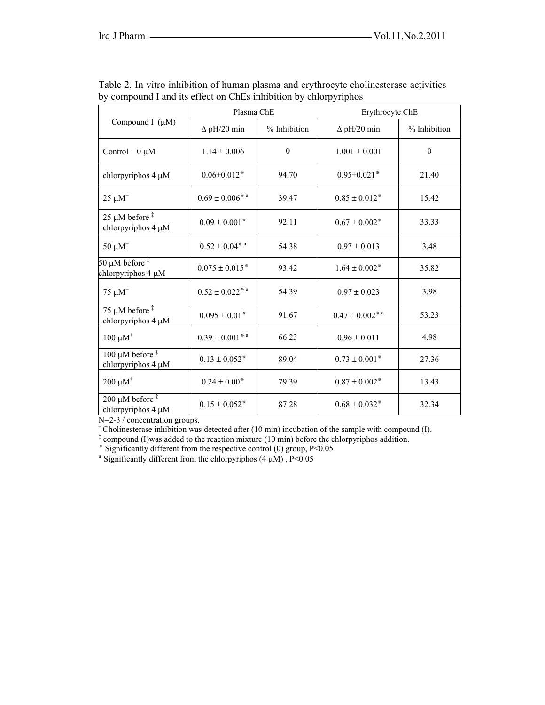| Compound I $(\mu M)$                                  | Plasma ChE                     |              | Erythrocyte ChE                   |              |
|-------------------------------------------------------|--------------------------------|--------------|-----------------------------------|--------------|
|                                                       | $\Delta$ pH/20 min             | % Inhibition | $\Delta$ pH/20 min                | % Inhibition |
| Control $0 \mu M$                                     | $1.14 \pm 0.006$               | $\mathbf{0}$ | $1.001 \pm 0.001$                 | $\mathbf{0}$ |
| chlorpyriphos 4 µM                                    | $0.06 \pm 0.012$ *             | 94.70        | $0.95 \pm 0.021$ *                | 21.40        |
| $25~\mu\text{M}^+$                                    | $0.69\pm0.006$ **              | 39.47        | $0.85 \pm 0.012$ *                | 15.42        |
| 25 µM before $\frac{1}{2}$<br>chlorpyriphos 4 µM      | $0.09 \pm 0.001$ *             | 92.11        | $0.67 \pm 0.002$ *                | 33.33        |
| $50 \mu M^+$                                          | $0.52\pm0.04^{*}$ a            | 54.38        | $0.97 \pm 0.013$                  | 3.48         |
| 50 µM before $\frac{1}{3}$<br>chlorpyriphos 4 µM      | $0.075 \pm 0.015$ <sup>*</sup> | 93.42        | $1.64 \pm 0.002*$                 | 35.82        |
| $75 \mu M^+$                                          | $0.52\pm0.022$ ***             | 54.39        | $0.97 \pm 0.023$                  | 3.98         |
| 75 µM before $\frac{1}{2}$<br>chlorpyriphos 4 µM      | $0.095 \pm 0.01$ <sup>*</sup>  | 91.67        | $0.47 \pm 0.002^{*}$ <sup>a</sup> | 53.23        |
| $100 \mu M^+$                                         | $0.39\pm0.001$ * a             | 66.23        | $0.96 \pm 0.011$                  | 4.98         |
| 100 $\mu$ M before <sup>‡</sup><br>chlorpyriphos 4 µM | $0.13 \pm 0.052$ *             | 89.04        | $0.73 \pm 0.001$ <sup>*</sup>     | 27.36        |
| $200 \ \mu M^+$                                       | $0.24 \pm 0.00*$               | 79.39        | $0.87 \pm 0.002$ *                | 13.43        |
| 200 $\mu$ M before $\ddagger$<br>chlorpyriphos 4 µM   | $0.15 \pm 0.052$ *             | 87.28        | $0.68 \pm 0.032$ *                | 32.34        |

Table 2. In vitro inhibition of human plasma and erythrocyte cholinesterase activities by compound I and its effect on ChEs inhibition by chlorpyriphos

N=2-3 / concentration groups.

+ Cholinesterase inhibition was detected after (10 min) incubation of the sample with compound (I).

<sup>‡</sup> compound (I)was added to the reaction mixture (10 min) before the chlorpyriphos addition.

 $\frac{1}{2}$  Significantly different from the respective control (0) group, P<0.05

<sup>a</sup> Significantly different from the chlorpyriphos  $(4 \mu M)$ , P<0.05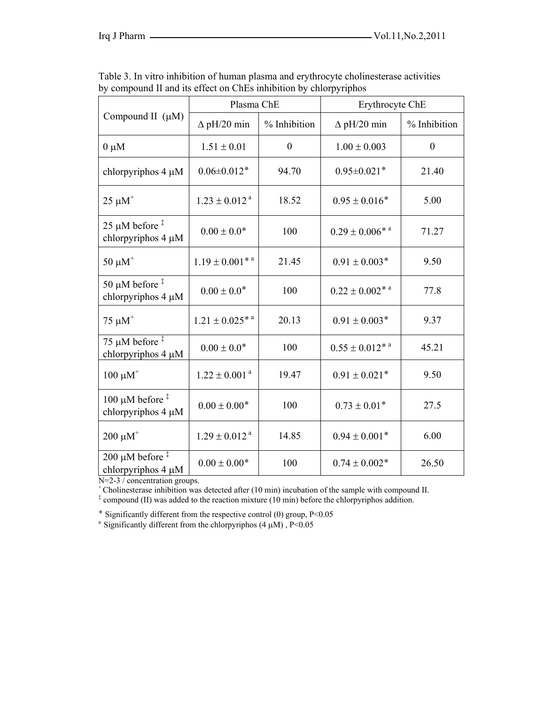| Compound II $(\mu M)$                                      | Plasma ChE                      |                  | Erythrocyte ChE        |                  |
|------------------------------------------------------------|---------------------------------|------------------|------------------------|------------------|
|                                                            | $\Delta$ pH/20 min              | % Inhibition     | $\Delta$ pH/20 min     | % Inhibition     |
| $0 \mu M$                                                  | $1.51 \pm 0.01$                 | $\boldsymbol{0}$ | $1.00 \pm 0.003$       | $\boldsymbol{0}$ |
| chlorpyriphos $4 \mu M$                                    | $0.06 \pm 0.012$ *              | 94.70            | $0.95 \pm 0.021$ *     | 21.40            |
| $25 \mu M^+$                                               | $1.23 \pm 0.012$ <sup>a</sup>   | 18.52            | $0.95 \pm 0.016$ *     | 5.00             |
| 25 $\mu$ M before <sup>‡</sup><br>chlorpyriphos 4 µM       | $0.00 \pm 0.0$ <sup>*</sup>     | 100              | $0.29 \pm 0.006^{* a}$ | 71.27            |
| $50 \mu M^+$                                               | $1.19 \pm 0.001$ <sup>**</sup>  | 21.45            | $0.91 \pm 0.003$ *     | 9.50             |
| 50 $\mu$ M before <sup>‡</sup><br>chlorpyriphos 4 µM       | $0.00 \pm 0.0$ <sup>*</sup>     | 100              | $0.22 \pm 0.002^{* a}$ | 77.8             |
| $75 \mu M^+$                                               | $1.21 \pm 0.025$ * <sup>a</sup> | 20.13            | $0.91 \pm 0.003$ *     | 9.37             |
| 75 µM before $\overline{a}$<br>chlorpyriphos 4 µM          | $0.00 \pm 0.0$ *                | 100              | $0.55 \pm 0.012^{* a}$ | 45.21            |
| $100 \mu M^+$                                              | $1.22 \pm 0.001$ <sup>a</sup>   | 19.47            | $0.91 \pm 0.021$ *     | 9.50             |
| 100 $\mu$ M before <sup>‡</sup><br>chlorpyriphos $4 \mu M$ | $0.00 \pm 0.00*$                | 100              | $0.73 \pm 0.01*$       | 27.5             |
| $200 \mu M^+$                                              | $1.29 \pm 0.012$ <sup>a</sup>   | 14.85            | $0.94 \pm 0.001$ *     | 6.00             |
| 200 $\mu$ M before <sup>‡</sup><br>chlorpyriphos $4 \mu M$ | $0.00 \pm 0.00$ <sup>*</sup>    | 100              | $0.74 \pm 0.002$ *     | 26.50            |

Table 3. In vitro inhibition of human plasma and erythrocyte cholinesterase activities by compound II and its effect on ChEs inhibition by chlorpyriphos

N=2-3 / concentration groups.

+ Cholinesterase inhibition was detected after (10 min) incubation of the sample with compound II.

<sup>‡</sup> compound (II) was added to the reaction mixture (10 min) before the chlorpyriphos addition.

 $*$  Significantly different from the respective control (0) group, P<0.05

<sup>a</sup> Significantly different from the chlorpyriphos (4  $\mu$ M), P<0.05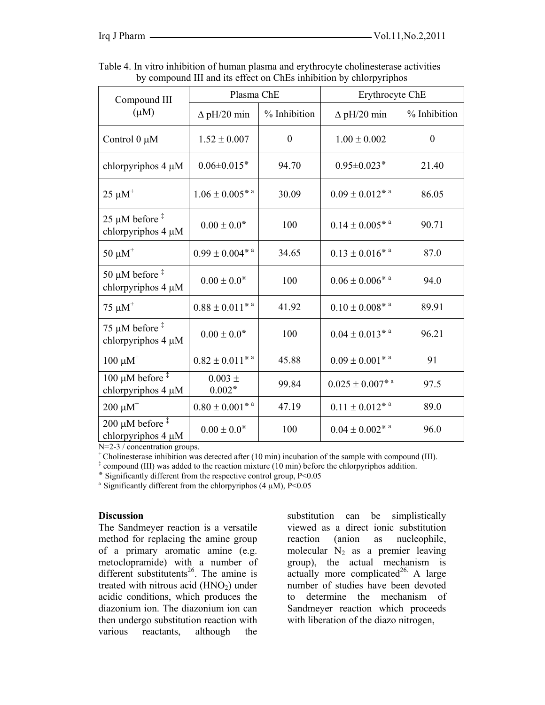| Compound III<br>$(\mu M)$                                                | Plasma ChE                      |              | Erythrocyte ChE                   |              |
|--------------------------------------------------------------------------|---------------------------------|--------------|-----------------------------------|--------------|
|                                                                          | $\Delta$ pH/20 min              | % Inhibition | $\Delta$ pH/20 min                | % Inhibition |
| Control $0 \mu M$                                                        | $1.52 \pm 0.007$                | $\mathbf{0}$ | $1.00 \pm 0.002$                  | $\mathbf{0}$ |
| chlorpyriphos 4 µM                                                       | $0.06 \pm 0.015$ *              | 94.70        | $0.95 \pm 0.023$ *                | 21.40        |
| $25 \mu M^+$                                                             | $1.06 \pm 0.005$ * <sup>a</sup> | 30.09        | $0.09 \pm 0.012^{* a}$            | 86.05        |
| $25 \mu M$ before <sup>‡</sup><br>chlorpyriphos 4 µM                     | $0.00 \pm 0.0$ <sup>*</sup>     | 100          | $0.14 \pm 0.005^{*}$ <sup>a</sup> | 90.71        |
| $50 \mu M^+$                                                             | $0.99 \pm 0.004^{* a}$          | 34.65        | $0.13 \pm 0.016^{* a}$            | 87.0         |
| 50 $\mu$ M before <sup><math>\ddagger</math></sup><br>chlorpyriphos 4 µM | $0.00 \pm 0.0$ <sup>*</sup>     | 100          | $0.06 \pm 0.006$ * <sup>*</sup>   | 94.0         |
| $75 \mu M^+$                                                             | $0.88 \pm 0.011$ <sup>**</sup>  | 41.92        | $0.10 \pm 0.008$ * <sup>a</sup>   | 89.91        |
| 75 µM before $\frac{4}{3}$<br>chlorpyriphos 4 µM                         | $0.00 \pm 0.0$ <sup>*</sup>     | 100          | $0.04 \pm 0.013^{* a}$            | 96.21        |
| $100 \mu M^+$                                                            | $0.82 \pm 0.011^{*a}$           | 45.88        | $0.09 \pm 0.001^{* a}$            | 91           |
| 100 µM before $\frac{1}{1}$<br>chlorpyriphos $4 \mu M$                   | $0.003 \pm$<br>$0.002*$         | 99.84        | $0.025 \pm 0.007^{* a}$           | 97.5         |
| $200 \mu M^{+}$                                                          | $0.80 \pm 0.001$ <sup>**</sup>  | 47.19        | $0.11 \pm 0.012^{* a}$            | 89.0         |
| 200 $\mu$ M before <sup>‡</sup><br>chlorpyriphos 4 µM                    | $0.00 \pm 0.0$ <sup>*</sup>     | 100          | $0.04 \pm 0.002^{* a}$            | 96.0         |

Table 4. In vitro inhibition of human plasma and erythrocyte cholinesterase activities by compound III and its effect on ChEs inhibition by chlorpyriphos

N=2-3 / concentration groups.

 $\epsilon$  Cholinesterase inhibition was detected after (10 min) incubation of the sample with compound (III).

<sup>‡</sup> compound (III) was added to the reaction mixture (10 min) before the chlorpyriphos addition.

 $*$  Significantly different from the respective control group,  $P \le 0.05$ 

<sup>a</sup> Significantly different from the chlorpyriphos  $(4 \mu M)$ , P<0.05

#### **Discussion**

The Sandmeyer reaction is a versatile method for replacing the amine group of a primary aromatic amine (e.g. metoclopramide) with a number of different substitutents<sup>26</sup>. The amine is treated with nitrous acid  $(HNO<sub>2</sub>)$  under acidic conditions, which produces the diazonium ion. The diazonium ion can then undergo substitution reaction with various reactants, although the

substitution can be simplistically viewed as a direct ionic substitution reaction (anion as nucleophile, molecular  $N_2$  as a premier leaving group), the actual mechanism is  $\text{actually}$  more complicated<sup>26.</sup> A large number of studies have been devoted to determine the mechanism of Sandmeyer reaction which proceeds with liberation of the diazo nitrogen,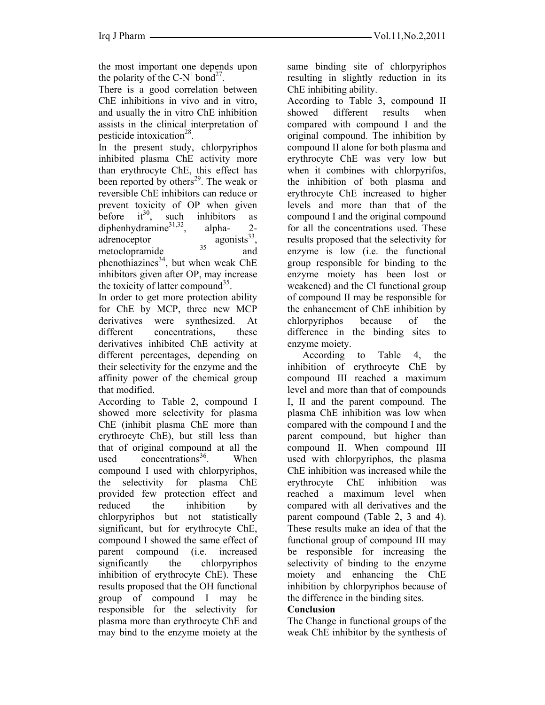the most important one depends upon the polarity of the  $C-N^+$  bond<sup>27</sup>.

There is a good correlation between ChE inhibitions in vivo and in vitro, and usually the in vitro ChE inhibition assists in the clinical interpretation of pesticide intoxication<sup>28</sup>.

In the present study, chlorpyriphos inhibited plasma ChE activity more than erythrocyte ChE, this effect has been reported by others<sup>29</sup>. The weak or reversible ChE inhibitors can reduce or prevent toxicity of OP when given<br>before  $it^{30}$ , such inhibitors as before  $it^{30}$ , such inhibitors as diphenhydramine $31,32$ , alpha- 2adrenoceptor  $\frac{1}{35}$  agonists<sup>33</sup>, metoclopramide <sup>35</sup> and phenothiazines<sup>34</sup>, but when weak ChE inhibitors given after OP, may increase the toxicity of latter compound<sup>35</sup>.

In order to get more protection ability for ChE by MCP, three new MCP derivatives were synthesized. At different concentrations, these derivatives inhibited ChE activity at different percentages, depending on their selectivity for the enzyme and the affinity power of the chemical group that modified.

According to Table 2, compound I showed more selectivity for plasma ChE (inhibit plasma ChE more than erythrocyte ChE), but still less than that of original compound at all the used concentrations<sup>36</sup>. When compound I used with chlorpyriphos, the selectivity for plasma ChE provided few protection effect and reduced the inhibition by chlorpyriphos but not statistically significant, but for erythrocyte ChE, compound I showed the same effect of parent compound (i.e. increased significantly the chlorpyriphos inhibition of erythrocyte ChE). These results proposed that the OH functional group of compound I may be responsible for the selectivity for plasma more than erythrocyte ChE and may bind to the enzyme moiety at the same binding site of chlorpyriphos resulting in slightly reduction in its ChE inhibiting ability.

According to Table 3, compound II showed different results when compared with compound I and the original compound. The inhibition by compound II alone for both plasma and erythrocyte ChE was very low but when it combines with chlorpyrifos, the inhibition of both plasma and erythrocyte ChE increased to higher levels and more than that of the compound I and the original compound for all the concentrations used. These results proposed that the selectivity for enzyme is low (i.e. the functional group responsible for binding to the enzyme moiety has been lost or weakened) and the Cl functional group of compound II may be responsible for the enhancement of ChE inhibition by chlorpyriphos because of the difference in the binding sites to enzyme moiety.

 According to Table 4, the inhibition of erythrocyte ChE by compound III reached a maximum level and more than that of compounds I, II and the parent compound. The plasma ChE inhibition was low when compared with the compound I and the parent compound, but higher than compound II. When compound III used with chlorpyriphos, the plasma ChE inhibition was increased while the erythrocyte ChE inhibition was reached a maximum level when compared with all derivatives and the parent compound (Table 2, 3 and 4). These results make an idea of that the functional group of compound III may be responsible for increasing the selectivity of binding to the enzyme moiety and enhancing the ChE inhibition by chlorpyriphos because of the difference in the binding sites.

# **Conclusion**

The Change in functional groups of the weak ChE inhibitor by the synthesis of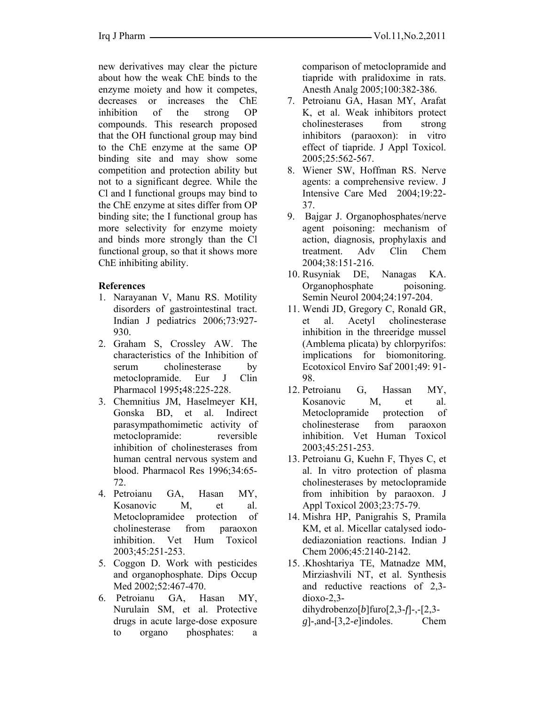new derivatives may clear the picture about how the weak ChE binds to the enzyme moiety and how it competes, decreases or increases the ChE inhibition of the strong OP compounds. This research proposed that the OH functional group may bind to the ChE enzyme at the same OP binding site and may show some competition and protection ability but not to a significant degree. While the Cl and I functional groups may bind to the ChE enzyme at sites differ from OP binding site; the I functional group has more selectivity for enzyme moiety and binds more strongly than the Cl functional group, so that it shows more ChE inhibiting ability.

### **References**

- 1. Narayanan V, Manu RS. Motility disorders of gastrointestinal tract. Indian J pediatrics 2006;73:927- 930.
- 2. Graham S, Crossley AW. The characteristics of the Inhibition of serum cholinesterase by metoclopramide. Eur J Clin Pharmacol 1995**;**48:225-228.
- 3. Chemnitius JM, Haselmeyer KH, Gonska BD, et al. Indirect parasympathomimetic activity of metoclopramide: reversible inhibition of cholinesterases from human central nervous system and blood. Pharmacol Res 1996;34:65- 72.
- 4. Petroianu GA, Hasan MY, Kosanovic M, et al. Metoclopramidee protection of cholinesterase from paraoxon inhibition. Vet Hum Toxicol 2003;45:251-253.
- 5. Coggon D. Work with pesticides and organophosphate. Dips Occup Med 2002;52:467-470.
- 6. Petroianu GA, Hasan MY, Nurulain SM, et al. Protective drugs in acute large-dose exposure to organo phosphates: a

comparison of metoclopramide and tiapride with pralidoxime in rats. Anesth Analg 2005;100:382-386.

- 7. Petroianu GA, Hasan MY, Arafat K, et al. Weak inhibitors protect cholinesterases from strong inhibitors (paraoxon): in vitro effect of tiapride. J Appl Toxicol. 2005;25:562-567.
- 8. Wiener SW, Hoffman RS. Nerve agents: a comprehensive review. J Intensive Care Med 2004;19:22- 37.
- 9. Bajgar J. Organophosphates/nerve agent poisoning: mechanism of action, diagnosis, prophylaxis and treatment. Adv Clin Chem 2004;38:151-216.
- 10. Rusyniak DE, Nanagas KA. Organophosphate poisoning. Semin Neurol 2004;24:197-204.
- 11. Wendi JD, Gregory C, Ronald GR, et al. Acetyl cholinesterase inhibition in the threeridge mussel (Amblema plicata) by chlorpyrifos: implications for biomonitoring. Ecotoxicol Enviro Saf 2001;49: 91- 98.
- 12. Petroianu G, Hassan MY, Kosanovic M, et al. Metoclopramide protection of cholinesterase from paraoxon inhibition. Vet Human Toxicol 2003;45:251-253.
- 13. Petroianu G, Kuehn F, Thyes C, et al. In vitro protection of plasma cholinesterases by metoclopramide from inhibition by paraoxon. J Appl Toxicol 2003;23:75-79.
- 14. Mishra HP, Panigrahis S, Pramila KM, et al. Micellar catalysed iododediazoniation reactions. Indian J Chem 2006;45:2140-2142.
- 15. .Khoshtariya TE, Matnadze MM, Mirziashvili NT, et al. Synthesis and reductive reactions of 2,3 dioxo-2,3 dihydrobenzo[*b*]furo[2,3-*f*]-,-[2,3 *g*]-,and-[3,2-*e*]indoles. Chem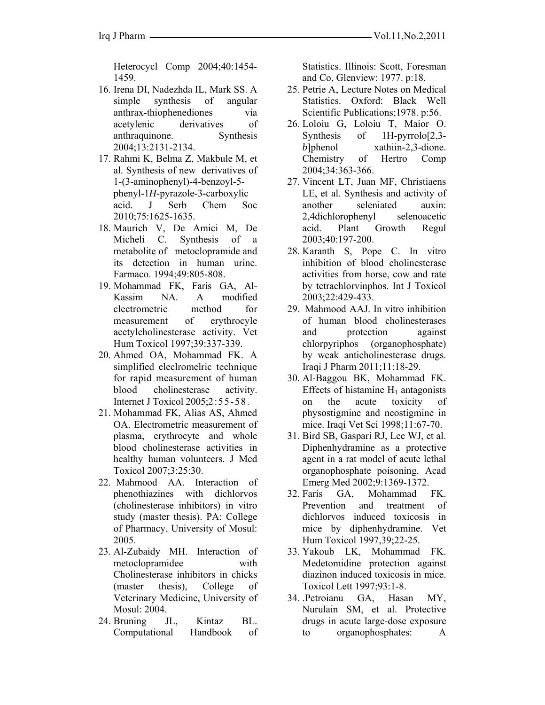Heterocycl Comp 2004;40:1454- 1459.

- 16. Irena DI, Nadezhda IL, Mark SS. A simple synthesis of angular anthrax-thiophenediones via acetylenic derivatives of anthraquinone. Synthesis 2004;13:2131-2134.
- 17. Rahmi K, Belma Z, Makbule M, et al. Synthesis of new derivatives of 1-(3-aminophenyl)-4-benzoyl-5 phenyl-1*H*-pyrazole-3-carboxylic acid. J Serb Chem Soc 2010;75:1625-1635.
- 18. Maurich V, De Amici M, De Micheli C. Synthesis of a metabolite of metoclopramide and its detection in human urine. Farmaco. 1994;49:805-808.
- 19. Mohammad FK, Faris GA, Al-Kassim NA. A modified electrometric method for measurement of erythrocyle acetylcholinesterase activity. Vet Hum Toxicol 1997;39:337-339.
- 20. Ahmed OA, Mohammad FK. A simplified eleclromelric technique for rapid measurement of human blood cholinesterase activity. Internet J Toxicol 2005;2:55-58.
- 21. Mohammad FK, Alias AS, Ahmed OA. Electrometric measurement of plasma, erythrocyte and whole blood cholinesterase activities in healthy human volunteers. J Med Toxicol 2007;3:25:30.
- 22. Mahmood AA. Interaction of phenothiazines with dichlorvos (cholinesterase inhibitors) in vitro study (master thesis). PA: College of Pharmacy, University of Mosul: 2005.
- 23. Al-Zubaidy MH. Interaction of metoclopramidee with Cholinesterase inhibitors in chicks (master thesis), College of Veterinary Medicine, University of Mosul: 2004.
- 24. Bruning JL, Kintaz BL. Computational Handbook of

Statistics. Illinois: Scott, Foresman and Co, Glenview: 1977. p:18.

- 25. Petrie A, Lecture Notes on Medical Statistics. Oxford: Black Well Scientific Publications;1978. p:56.
- 26. Loloiu G, Loloiu T, Maior O. Synthesis of 1H-pyrrolo[2,3 *b*]phenol xathiin-2,3-dione. Chemistry of Hertro Comp 2004;34:363-366.
- 27. Vincent LT, Juan MF, Christiaens LE, et al. Synthesis and activity of another seleniated auxin: 2,4dichlorophenyl selenoacetic acid. Plant Growth Regul 2003;40:197-200.
- 28. Karanth S, Pope C. In vitro inhibition of blood cholinesterase activities from horse, cow and rate by tetrachlorvinphos. Int J Toxicol 2003;22:429-433.
- 29. Mahmood AAJ. In vitro inhibition of human blood cholinesterases and protection against chlorpyriphos (organophosphate) by weak anticholinesterase drugs. Iraqi J Pharm 2011;11:18-29.
- 30. Al-Baggou BK, Mohammad FK. Effects of histamine  $H_1$  antagonists on the acute toxicity of physostigmine and neostigmine in mice. Iraqi Vet Sci 1998;11:67-70.
- 31. Bird SB, Gaspari RJ, Lee WJ, et al. Diphenhydramine as a protective agent in a rat model of acute lethal organophosphate poisoning. Acad Emerg Med 2002;9:1369-1372.
- 32. Faris GA, Mohammad FK. Prevention and treatment of dichlorvos induced toxicosis in mice by diphenhydramine. Vet Hum Toxicol 1997,39;22-25.
- 33. Yakoub LK, Mohammad FK. Medetomidine protection against diazinon induced toxicosis in mice. Toxicol Lett 1997;93:1-8.
- 34. .Petroianu GA, Hasan MY, Nurulain SM, et al. Protective drugs in acute large-dose exposure to organophosphates: A